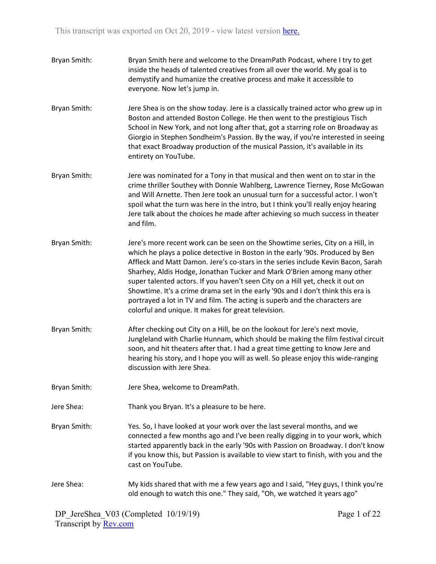- Bryan Smith: Bryan Smith here and welcome to the DreamPath Podcast, where I try to get inside the heads of talented creatives from all over the world. My goal is to demystify and humanize the creative process and make it accessible to everyone. Now let's jump in.
- Bryan Smith: Jere Shea is on the show today. Jere is a classically trained actor who grew up in Boston and attended Boston College. He then went to the prestigious Tisch School in New York, and not long after that, got a starring role on Broadway as Giorgio in Stephen Sondheim's Passion. By the way, if you're interested in seeing that exact Broadway production of the musical Passion, it's available in its entirety on YouTube.
- Bryan Smith: Jere was nominated for a Tony in that musical and then went on to star in the crime thriller Southey with Donnie Wahlberg, Lawrence Tierney, Rose McGowan and Will Arnette. Then Jere took an unusual turn for a successful actor. I won't spoil what the turn was here in the intro, but I think you'll really enjoy hearing Jere talk about the choices he made after achieving so much success in theater and film.
- Bryan Smith: Jere's more recent work can be seen on the Showtime series, City on a Hill, in which he plays a police detective in Boston in the early '90s. Produced by Ben Affleck and Matt Damon. Jere's co-stars in the series include Kevin Bacon, Sarah Sharhey, Aldis Hodge, Jonathan Tucker and Mark O'Brien among many other super talented actors. If you haven't seen City on a Hill yet, check it out on Showtime. It's a crime drama set in the early '90s and I don't think this era is portrayed a lot in TV and film. The acting is superb and the characters are colorful and unique. It makes for great television.
- Bryan Smith: After checking out City on a Hill, be on the lookout for Jere's next movie, Jungleland with Charlie Hunnam, which should be making the film festival circuit soon, and hit theaters after that. I had a great time getting to know Jere and hearing his story, and I hope you will as well. So please enjoy this wide-ranging discussion with Jere Shea.
- Bryan Smith: Jere Shea, welcome to DreamPath.
- Jere Shea: Thank you Bryan. It's a pleasure to be here.
- Bryan Smith: Yes. So, I have looked at your work over the last several months, and we connected a few months ago and I've been really digging in to your work, which started apparently back in the early '90s with Passion on Broadway. I don't know if you know this, but Passion is available to view start to finish, with you and the cast on YouTube.
- Jere Shea: My kids shared that with me a few years ago and I said, "Hey guys, I think you're old enough to watch this one." They said, "Oh, we watched it years ago"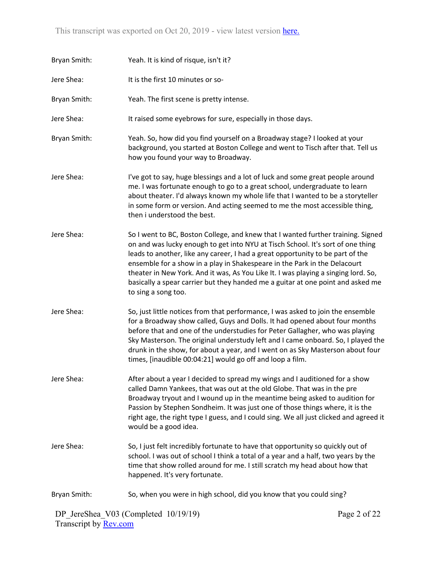| Bryan Smith: | Yeah. It is kind of risque, isn't it?                                                                                                                                                                                                                                                                                                                                                                                                                                                                                              |
|--------------|------------------------------------------------------------------------------------------------------------------------------------------------------------------------------------------------------------------------------------------------------------------------------------------------------------------------------------------------------------------------------------------------------------------------------------------------------------------------------------------------------------------------------------|
| Jere Shea:   | It is the first 10 minutes or so-                                                                                                                                                                                                                                                                                                                                                                                                                                                                                                  |
| Bryan Smith: | Yeah. The first scene is pretty intense.                                                                                                                                                                                                                                                                                                                                                                                                                                                                                           |
| Jere Shea:   | It raised some eyebrows for sure, especially in those days.                                                                                                                                                                                                                                                                                                                                                                                                                                                                        |
| Bryan Smith: | Yeah. So, how did you find yourself on a Broadway stage? I looked at your<br>background, you started at Boston College and went to Tisch after that. Tell us<br>how you found your way to Broadway.                                                                                                                                                                                                                                                                                                                                |
| Jere Shea:   | I've got to say, huge blessings and a lot of luck and some great people around<br>me. I was fortunate enough to go to a great school, undergraduate to learn<br>about theater. I'd always known my whole life that I wanted to be a storyteller<br>in some form or version. And acting seemed to me the most accessible thing,<br>then i understood the best.                                                                                                                                                                      |
| Jere Shea:   | So I went to BC, Boston College, and knew that I wanted further training. Signed<br>on and was lucky enough to get into NYU at Tisch School. It's sort of one thing<br>leads to another, like any career, I had a great opportunity to be part of the<br>ensemble for a show in a play in Shakespeare in the Park in the Delacourt<br>theater in New York. And it was, As You Like It. I was playing a singing lord. So,<br>basically a spear carrier but they handed me a guitar at one point and asked me<br>to sing a song too. |
| Jere Shea:   | So, just little notices from that performance, I was asked to join the ensemble<br>for a Broadway show called, Guys and Dolls. It had opened about four months<br>before that and one of the understudies for Peter Gallagher, who was playing<br>Sky Masterson. The original understudy left and I came onboard. So, I played the<br>drunk in the show, for about a year, and I went on as Sky Masterson about four<br>times, [inaudible 00:04:21] would go off and loop a film.                                                  |
| Jere Shea:   | After about a year I decided to spread my wings and I auditioned for a show<br>called Damn Yankees, that was out at the old Globe. That was in the pre<br>Broadway tryout and I wound up in the meantime being asked to audition for<br>Passion by Stephen Sondheim. It was just one of those things where, it is the<br>right age, the right type I guess, and I could sing. We all just clicked and agreed it<br>would be a good idea.                                                                                           |
| Jere Shea:   | So, I just felt incredibly fortunate to have that opportunity so quickly out of<br>school. I was out of school I think a total of a year and a half, two years by the<br>time that show rolled around for me. I still scratch my head about how that<br>happened. It's very fortunate.                                                                                                                                                                                                                                             |
| Bryan Smith: | So, when you were in high school, did you know that you could sing?                                                                                                                                                                                                                                                                                                                                                                                                                                                                |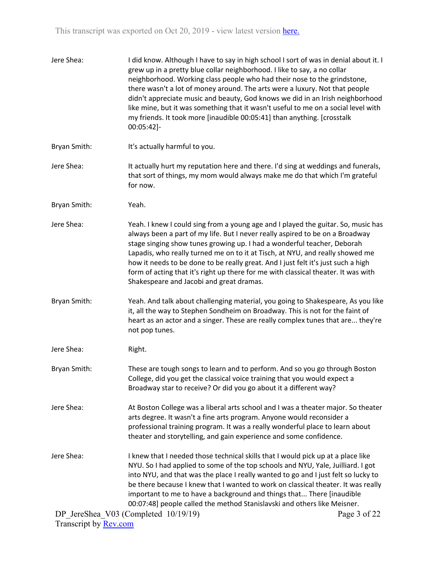| Jere Shea:                   | I did know. Although I have to say in high school I sort of was in denial about it. I<br>grew up in a pretty blue collar neighborhood. I like to say, a no collar<br>neighborhood. Working class people who had their nose to the grindstone,<br>there wasn't a lot of money around. The arts were a luxury. Not that people<br>didn't appreciate music and beauty, God knows we did in an Irish neighborhood<br>like mine, but it was something that it wasn't useful to me on a social level with<br>my friends. It took more [inaudible 00:05:41] than anything. [crosstalk<br>00:05:42]- |              |
|------------------------------|----------------------------------------------------------------------------------------------------------------------------------------------------------------------------------------------------------------------------------------------------------------------------------------------------------------------------------------------------------------------------------------------------------------------------------------------------------------------------------------------------------------------------------------------------------------------------------------------|--------------|
| Bryan Smith:                 | It's actually harmful to you.                                                                                                                                                                                                                                                                                                                                                                                                                                                                                                                                                                |              |
| Jere Shea:                   | It actually hurt my reputation here and there. I'd sing at weddings and funerals,<br>that sort of things, my mom would always make me do that which I'm grateful<br>for now.                                                                                                                                                                                                                                                                                                                                                                                                                 |              |
| Bryan Smith:                 | Yeah.                                                                                                                                                                                                                                                                                                                                                                                                                                                                                                                                                                                        |              |
| Jere Shea:                   | Yeah. I knew I could sing from a young age and I played the guitar. So, music has<br>always been a part of my life. But I never really aspired to be on a Broadway<br>stage singing show tunes growing up. I had a wonderful teacher, Deborah<br>Lapadis, who really turned me on to it at Tisch, at NYU, and really showed me<br>how it needs to be done to be really great. And I just felt it's just such a high<br>form of acting that it's right up there for me with classical theater. It was with<br>Shakespeare and Jacobi and great dramas.                                        |              |
| Bryan Smith:                 | Yeah. And talk about challenging material, you going to Shakespeare, As you like<br>it, all the way to Stephen Sondheim on Broadway. This is not for the faint of<br>heart as an actor and a singer. These are really complex tunes that are they're<br>not pop tunes.                                                                                                                                                                                                                                                                                                                       |              |
| Jere Shea:                   | Right.                                                                                                                                                                                                                                                                                                                                                                                                                                                                                                                                                                                       |              |
| Bryan Smith:                 | These are tough songs to learn and to perform. And so you go through Boston<br>College, did you get the classical voice training that you would expect a<br>Broadway star to receive? Or did you go about it a different way?                                                                                                                                                                                                                                                                                                                                                                |              |
| Jere Shea:                   | At Boston College was a liberal arts school and I was a theater major. So theater<br>arts degree. It wasn't a fine arts program. Anyone would reconsider a<br>professional training program. It was a really wonderful place to learn about<br>theater and storytelling, and gain experience and some confidence.                                                                                                                                                                                                                                                                            |              |
| Jere Shea:                   | I knew that I needed those technical skills that I would pick up at a place like<br>NYU. So I had applied to some of the top schools and NYU, Yale, Juilliard. I got<br>into NYU, and that was the place I really wanted to go and I just felt so lucky to<br>be there because I knew that I wanted to work on classical theater. It was really<br>important to me to have a background and things that There [inaudible<br>00:07:48] people called the method Stanislavski and others like Meisner.                                                                                         |              |
| Transcript by <b>Rev.com</b> | DP JereShea V03 (Completed 10/19/19)                                                                                                                                                                                                                                                                                                                                                                                                                                                                                                                                                         | Page 3 of 22 |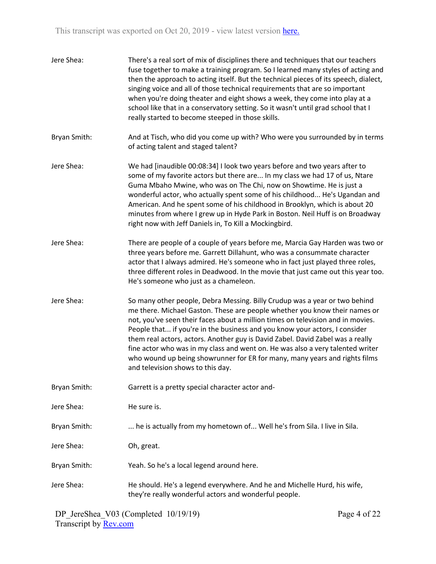| Jere Shea:   | There's a real sort of mix of disciplines there and techniques that our teachers<br>fuse together to make a training program. So I learned many styles of acting and<br>then the approach to acting itself. But the technical pieces of its speech, dialect,<br>singing voice and all of those technical requirements that are so important<br>when you're doing theater and eight shows a week, they come into play at a<br>school like that in a conservatory setting. So it wasn't until grad school that I<br>really started to become steeped in those skills.                                              |
|--------------|------------------------------------------------------------------------------------------------------------------------------------------------------------------------------------------------------------------------------------------------------------------------------------------------------------------------------------------------------------------------------------------------------------------------------------------------------------------------------------------------------------------------------------------------------------------------------------------------------------------|
| Bryan Smith: | And at Tisch, who did you come up with? Who were you surrounded by in terms<br>of acting talent and staged talent?                                                                                                                                                                                                                                                                                                                                                                                                                                                                                               |
| Jere Shea:   | We had [inaudible 00:08:34] I look two years before and two years after to<br>some of my favorite actors but there are In my class we had 17 of us, Ntare<br>Guma Mbaho Mwine, who was on The Chi, now on Showtime. He is just a<br>wonderful actor, who actually spent some of his childhood He's Ugandan and<br>American. And he spent some of his childhood in Brooklyn, which is about 20<br>minutes from where I grew up in Hyde Park in Boston. Neil Huff is on Broadway<br>right now with Jeff Daniels in, To Kill a Mockingbird.                                                                         |
| Jere Shea:   | There are people of a couple of years before me, Marcia Gay Harden was two or<br>three years before me. Garrett Dillahunt, who was a consummate character<br>actor that I always admired. He's someone who in fact just played three roles,<br>three different roles in Deadwood. In the movie that just came out this year too.<br>He's someone who just as a chameleon.                                                                                                                                                                                                                                        |
| Jere Shea:   | So many other people, Debra Messing. Billy Crudup was a year or two behind<br>me there. Michael Gaston. These are people whether you know their names or<br>not, you've seen their faces about a million times on television and in movies.<br>People that if you're in the business and you know your actors, I consider<br>them real actors, actors. Another guy is David Zabel. David Zabel was a really<br>fine actor who was in my class and went on. He was also a very talented writer<br>who wound up being showrunner for ER for many, many years and rights films<br>and television shows to this day. |
| Bryan Smith: | Garrett is a pretty special character actor and-                                                                                                                                                                                                                                                                                                                                                                                                                                                                                                                                                                 |
| Jere Shea:   | He sure is.                                                                                                                                                                                                                                                                                                                                                                                                                                                                                                                                                                                                      |
| Bryan Smith: | he is actually from my hometown of Well he's from Sila. I live in Sila.                                                                                                                                                                                                                                                                                                                                                                                                                                                                                                                                          |
| Jere Shea:   | Oh, great.                                                                                                                                                                                                                                                                                                                                                                                                                                                                                                                                                                                                       |
| Bryan Smith: | Yeah. So he's a local legend around here.                                                                                                                                                                                                                                                                                                                                                                                                                                                                                                                                                                        |
| Jere Shea:   | He should. He's a legend everywhere. And he and Michelle Hurd, his wife,<br>they're really wonderful actors and wonderful people.                                                                                                                                                                                                                                                                                                                                                                                                                                                                                |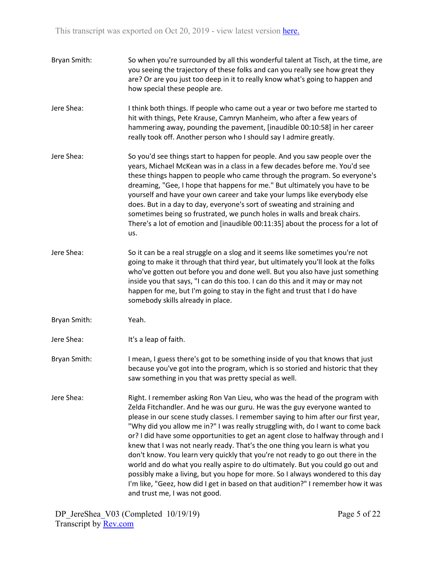| Bryan Smith: | So when you're surrounded by all this wonderful talent at Tisch, at the time, are<br>you seeing the trajectory of these folks and can you really see how great they<br>are? Or are you just too deep in it to really know what's going to happen and<br>how special these people are.                                                                                                                                                                                                                                                                                                                                                                                                                                                                                                                                                                                             |
|--------------|-----------------------------------------------------------------------------------------------------------------------------------------------------------------------------------------------------------------------------------------------------------------------------------------------------------------------------------------------------------------------------------------------------------------------------------------------------------------------------------------------------------------------------------------------------------------------------------------------------------------------------------------------------------------------------------------------------------------------------------------------------------------------------------------------------------------------------------------------------------------------------------|
| Jere Shea:   | I think both things. If people who came out a year or two before me started to<br>hit with things, Pete Krause, Camryn Manheim, who after a few years of<br>hammering away, pounding the pavement, [inaudible 00:10:58] in her career<br>really took off. Another person who I should say I admire greatly.                                                                                                                                                                                                                                                                                                                                                                                                                                                                                                                                                                       |
| Jere Shea:   | So you'd see things start to happen for people. And you saw people over the<br>years, Michael McKean was in a class in a few decades before me. You'd see<br>these things happen to people who came through the program. So everyone's<br>dreaming, "Gee, I hope that happens for me." But ultimately you have to be<br>yourself and have your own career and take your lumps like everybody else<br>does. But in a day to day, everyone's sort of sweating and straining and<br>sometimes being so frustrated, we punch holes in walls and break chairs.<br>There's a lot of emotion and [inaudible 00:11:35] about the process for a lot of<br>us.                                                                                                                                                                                                                              |
| Jere Shea:   | So it can be a real struggle on a slog and it seems like sometimes you're not<br>going to make it through that third year, but ultimately you'll look at the folks<br>who've gotten out before you and done well. But you also have just something<br>inside you that says, "I can do this too. I can do this and it may or may not<br>happen for me, but I'm going to stay in the fight and trust that I do have<br>somebody skills already in place.                                                                                                                                                                                                                                                                                                                                                                                                                            |
| Bryan Smith: | Yeah.                                                                                                                                                                                                                                                                                                                                                                                                                                                                                                                                                                                                                                                                                                                                                                                                                                                                             |
| Jere Shea:   | It's a leap of faith.                                                                                                                                                                                                                                                                                                                                                                                                                                                                                                                                                                                                                                                                                                                                                                                                                                                             |
| Bryan Smith: | I mean, I guess there's got to be something inside of you that knows that just<br>because you've got into the program, which is so storied and historic that they<br>saw something in you that was pretty special as well.                                                                                                                                                                                                                                                                                                                                                                                                                                                                                                                                                                                                                                                        |
| Jere Shea:   | Right. I remember asking Ron Van Lieu, who was the head of the program with<br>Zelda Fitchandler. And he was our guru. He was the guy everyone wanted to<br>please in our scene study classes. I remember saying to him after our first year,<br>"Why did you allow me in?" I was really struggling with, do I want to come back<br>or? I did have some opportunities to get an agent close to halfway through and I<br>knew that I was not nearly ready. That's the one thing you learn is what you<br>don't know. You learn very quickly that you're not ready to go out there in the<br>world and do what you really aspire to do ultimately. But you could go out and<br>possibly make a living, but you hope for more. So I always wondered to this day<br>I'm like, "Geez, how did I get in based on that audition?" I remember how it was<br>and trust me, I was not good. |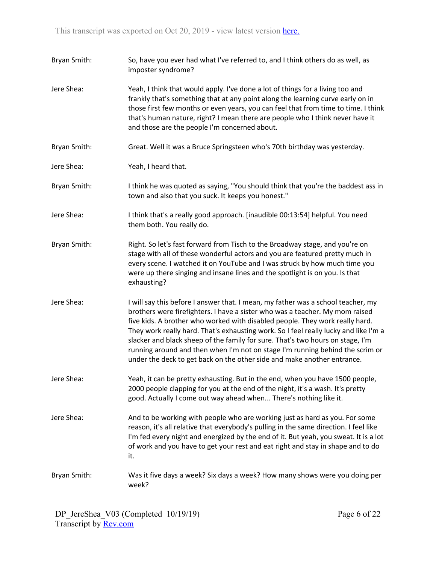| Bryan Smith: | So, have you ever had what I've referred to, and I think others do as well, as<br>imposter syndrome?                                                                                                                                                                                                                                                                                                                                                                                                                                                                                   |
|--------------|----------------------------------------------------------------------------------------------------------------------------------------------------------------------------------------------------------------------------------------------------------------------------------------------------------------------------------------------------------------------------------------------------------------------------------------------------------------------------------------------------------------------------------------------------------------------------------------|
| Jere Shea:   | Yeah, I think that would apply. I've done a lot of things for a living too and<br>frankly that's something that at any point along the learning curve early on in<br>those first few months or even years, you can feel that from time to time. I think<br>that's human nature, right? I mean there are people who I think never have it<br>and those are the people I'm concerned about.                                                                                                                                                                                              |
| Bryan Smith: | Great. Well it was a Bruce Springsteen who's 70th birthday was yesterday.                                                                                                                                                                                                                                                                                                                                                                                                                                                                                                              |
| Jere Shea:   | Yeah, I heard that.                                                                                                                                                                                                                                                                                                                                                                                                                                                                                                                                                                    |
| Bryan Smith: | I think he was quoted as saying, "You should think that you're the baddest ass in<br>town and also that you suck. It keeps you honest."                                                                                                                                                                                                                                                                                                                                                                                                                                                |
| Jere Shea:   | I think that's a really good approach. [inaudible 00:13:54] helpful. You need<br>them both. You really do.                                                                                                                                                                                                                                                                                                                                                                                                                                                                             |
| Bryan Smith: | Right. So let's fast forward from Tisch to the Broadway stage, and you're on<br>stage with all of these wonderful actors and you are featured pretty much in<br>every scene. I watched it on YouTube and I was struck by how much time you<br>were up there singing and insane lines and the spotlight is on you. Is that<br>exhausting?                                                                                                                                                                                                                                               |
| Jere Shea:   | I will say this before I answer that. I mean, my father was a school teacher, my<br>brothers were firefighters. I have a sister who was a teacher. My mom raised<br>five kids. A brother who worked with disabled people. They work really hard.<br>They work really hard. That's exhausting work. So I feel really lucky and like I'm a<br>slacker and black sheep of the family for sure. That's two hours on stage, I'm<br>running around and then when I'm not on stage I'm running behind the scrim or<br>under the deck to get back on the other side and make another entrance. |
| Jere Shea:   | Yeah, it can be pretty exhausting. But in the end, when you have 1500 people,<br>2000 people clapping for you at the end of the night, it's a wash. It's pretty<br>good. Actually I come out way ahead when There's nothing like it.                                                                                                                                                                                                                                                                                                                                                   |
| Jere Shea:   | And to be working with people who are working just as hard as you. For some<br>reason, it's all relative that everybody's pulling in the same direction. I feel like<br>I'm fed every night and energized by the end of it. But yeah, you sweat. It is a lot<br>of work and you have to get your rest and eat right and stay in shape and to do<br>it.                                                                                                                                                                                                                                 |
| Bryan Smith: | Was it five days a week? Six days a week? How many shows were you doing per<br>week?                                                                                                                                                                                                                                                                                                                                                                                                                                                                                                   |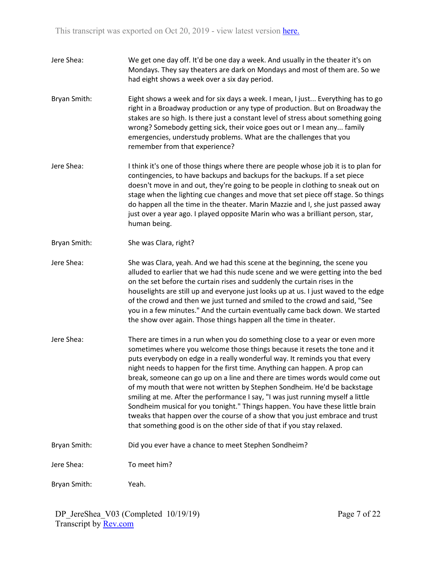- Jere Shea: We get one day off. It'd be one day a week. And usually in the theater it's on Mondays. They say theaters are dark on Mondays and most of them are. So we had eight shows a week over a six day period.
- Bryan Smith: Eight shows a week and for six days a week. I mean, I just... Everything has to go right in a Broadway production or any type of production. But on Broadway the stakes are so high. Is there just a constant level of stress about something going wrong? Somebody getting sick, their voice goes out or I mean any... family emergencies, understudy problems. What are the challenges that you remember from that experience?
- Jere Shea: I think it's one of those things where there are people whose job it is to plan for contingencies, to have backups and backups for the backups. If a set piece doesn't move in and out, they're going to be people in clothing to sneak out on stage when the lighting cue changes and move that set piece off stage. So things do happen all the time in the theater. Marin Mazzie and I, she just passed away just over a year ago. I played opposite Marin who was a brilliant person, star, human being.
- Bryan Smith: She was Clara, right?
- Jere Shea: She was Clara, yeah. And we had this scene at the beginning, the scene you alluded to earlier that we had this nude scene and we were getting into the bed on the set before the curtain rises and suddenly the curtain rises in the houselights are still up and everyone just looks up at us. I just waved to the edge of the crowd and then we just turned and smiled to the crowd and said, "See you in a few minutes." And the curtain eventually came back down. We started the show over again. Those things happen all the time in theater.
- Jere Shea: There are times in a run when you do something close to a year or even more sometimes where you welcome those things because it resets the tone and it puts everybody on edge in a really wonderful way. It reminds you that every night needs to happen for the first time. Anything can happen. A prop can break, someone can go up on a line and there are times words would come out of my mouth that were not written by Stephen Sondheim. He'd be backstage smiling at me. After the performance I say, "I was just running myself a little Sondheim musical for you tonight." Things happen. You have these little brain tweaks that happen over the course of a show that you just embrace and trust that something good is on the other side of that if you stay relaxed.
- Bryan Smith: Did you ever have a chance to meet Stephen Sondheim?

Jere Shea: To meet him?

Bryan Smith: Yeah.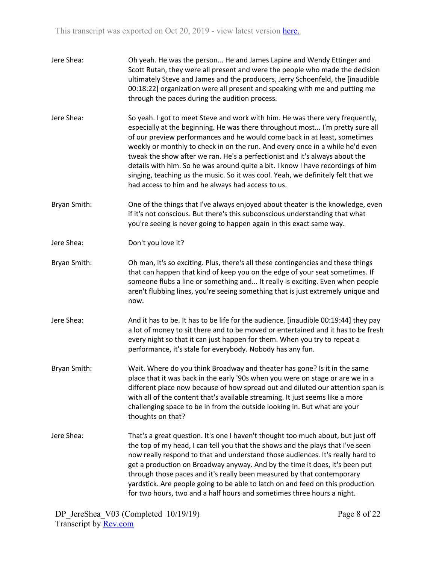| Jere Shea:   | Oh yeah. He was the person He and James Lapine and Wendy Ettinger and<br>Scott Rutan, they were all present and were the people who made the decision<br>ultimately Steve and James and the producers, Jerry Schoenfeld, the [inaudible<br>00:18:22] organization were all present and speaking with me and putting me<br>through the paces during the audition process.                                                                                                                                                                                                                                                                |
|--------------|-----------------------------------------------------------------------------------------------------------------------------------------------------------------------------------------------------------------------------------------------------------------------------------------------------------------------------------------------------------------------------------------------------------------------------------------------------------------------------------------------------------------------------------------------------------------------------------------------------------------------------------------|
| Jere Shea:   | So yeah. I got to meet Steve and work with him. He was there very frequently,<br>especially at the beginning. He was there throughout most I'm pretty sure all<br>of our preview performances and he would come back in at least, sometimes<br>weekly or monthly to check in on the run. And every once in a while he'd even<br>tweak the show after we ran. He's a perfectionist and it's always about the<br>details with him. So he was around quite a bit. I know I have recordings of him<br>singing, teaching us the music. So it was cool. Yeah, we definitely felt that we<br>had access to him and he always had access to us. |
| Bryan Smith: | One of the things that I've always enjoyed about theater is the knowledge, even<br>if it's not conscious. But there's this subconscious understanding that what<br>you're seeing is never going to happen again in this exact same way.                                                                                                                                                                                                                                                                                                                                                                                                 |
| Jere Shea:   | Don't you love it?                                                                                                                                                                                                                                                                                                                                                                                                                                                                                                                                                                                                                      |
| Bryan Smith: | Oh man, it's so exciting. Plus, there's all these contingencies and these things<br>that can happen that kind of keep you on the edge of your seat sometimes. If<br>someone flubs a line or something and It really is exciting. Even when people<br>aren't flubbing lines, you're seeing something that is just extremely unique and<br>now.                                                                                                                                                                                                                                                                                           |
| Jere Shea:   | And it has to be. It has to be life for the audience. [inaudible 00:19:44] they pay<br>a lot of money to sit there and to be moved or entertained and it has to be fresh<br>every night so that it can just happen for them. When you try to repeat a<br>performance, it's stale for everybody. Nobody has any fun.                                                                                                                                                                                                                                                                                                                     |
| Bryan Smith: | Wait. Where do you think Broadway and theater has gone? Is it in the same<br>place that it was back in the early '90s when you were on stage or are we in a<br>different place now because of how spread out and diluted our attention span is<br>with all of the content that's available streaming. It just seems like a more<br>challenging space to be in from the outside looking in. But what are your<br>thoughts on that?                                                                                                                                                                                                       |
| Jere Shea:   | That's a great question. It's one I haven't thought too much about, but just off<br>the top of my head, I can tell you that the shows and the plays that I've seen<br>now really respond to that and understand those audiences. It's really hard to<br>get a production on Broadway anyway. And by the time it does, it's been put<br>through those paces and it's really been measured by that contemporary<br>yardstick. Are people going to be able to latch on and feed on this production<br>for two hours, two and a half hours and sometimes three hours a night.                                                               |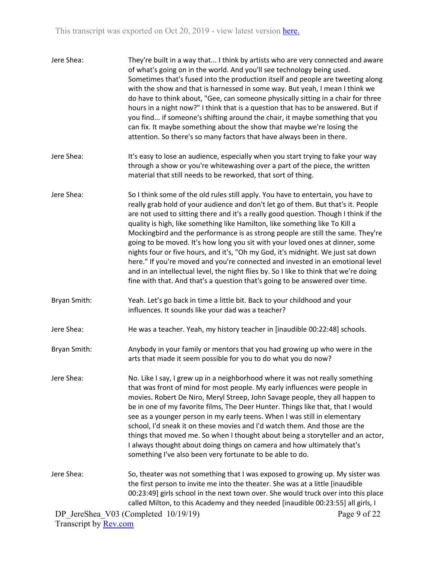| Jere Shea:                   | They're built in a way that I think by artists who are very connected and aware<br>of what's going on in the world. And you'll see technology being used.<br>Sometimes that's fused into the production itself and people are tweeting along<br>with the show and that is harnessed in some way. But yeah, I mean I think we<br>do have to think about, "Gee, can someone physically sitting in a chair for three<br>hours in a night now?" I think that is a question that has to be answered. But if<br>you find if someone's shifting around the chair, it maybe something that you<br>can fix. It maybe something about the show that maybe we're losing the<br>attention. So there's so many factors that have always been in there.                                                                                                                        |              |
|------------------------------|------------------------------------------------------------------------------------------------------------------------------------------------------------------------------------------------------------------------------------------------------------------------------------------------------------------------------------------------------------------------------------------------------------------------------------------------------------------------------------------------------------------------------------------------------------------------------------------------------------------------------------------------------------------------------------------------------------------------------------------------------------------------------------------------------------------------------------------------------------------|--------------|
| Jere Shea:                   | It's easy to lose an audience, especially when you start trying to fake your way<br>through a show or you're whitewashing over a part of the piece, the written<br>material that still needs to be reworked, that sort of thing.                                                                                                                                                                                                                                                                                                                                                                                                                                                                                                                                                                                                                                 |              |
| Jere Shea:                   | So I think some of the old rules still apply. You have to entertain, you have to<br>really grab hold of your audience and don't let go of them. But that's it. People<br>are not used to sitting there and it's a really good question. Though I think if the<br>quality is high, like something like Hamilton, like something like To Kill a<br>Mockingbird and the performance is as strong people are still the same. They're<br>going to be moved. It's how long you sit with your loved ones at dinner, some<br>nights four or five hours, and it's, "Oh my God, it's midnight. We just sat down<br>here." If you're moved and you're connected and invested in an emotional level<br>and in an intellectual level, the night flies by. So I like to think that we're doing<br>fine with that. And that's a question that's going to be answered over time. |              |
| Bryan Smith:                 | Yeah. Let's go back in time a little bit. Back to your childhood and your<br>influences. It sounds like your dad was a teacher?                                                                                                                                                                                                                                                                                                                                                                                                                                                                                                                                                                                                                                                                                                                                  |              |
| Jere Shea:                   | He was a teacher. Yeah, my history teacher in [inaudible 00:22:48] schools.                                                                                                                                                                                                                                                                                                                                                                                                                                                                                                                                                                                                                                                                                                                                                                                      |              |
| Bryan Smith:                 | Anybody in your family or mentors that you had growing up who were in the<br>arts that made it seem possible for you to do what you do now?                                                                                                                                                                                                                                                                                                                                                                                                                                                                                                                                                                                                                                                                                                                      |              |
| Jere Shea:                   | No. Like I say, I grew up in a neighborhood where it was not really something<br>that was front of mind for most people. My early influences were people in<br>movies. Robert De Niro, Meryl Streep, John Savage people, they all happen to<br>be in one of my favorite films, The Deer Hunter. Things like that, that I would<br>see as a younger person in my early teens. When I was still in elementary<br>school, I'd sneak it on these movies and I'd watch them. And those are the<br>things that moved me. So when I thought about being a storyteller and an actor,<br>I always thought about doing things on camera and how ultimately that's<br>something I've also been very fortunate to be able to do.                                                                                                                                             |              |
| Jere Shea:                   | So, theater was not something that I was exposed to growing up. My sister was<br>the first person to invite me into the theater. She was at a little [inaudible<br>00:23:49] girls school in the next town over. She would truck over into this place<br>called Milton, to this Academy and they needed [inaudible 00:23:55] all girls, I                                                                                                                                                                                                                                                                                                                                                                                                                                                                                                                        |              |
|                              | DP JereShea V03 (Completed 10/19/19)                                                                                                                                                                                                                                                                                                                                                                                                                                                                                                                                                                                                                                                                                                                                                                                                                             | Page 9 of 22 |
| Transcript by <b>Rev.com</b> |                                                                                                                                                                                                                                                                                                                                                                                                                                                                                                                                                                                                                                                                                                                                                                                                                                                                  |              |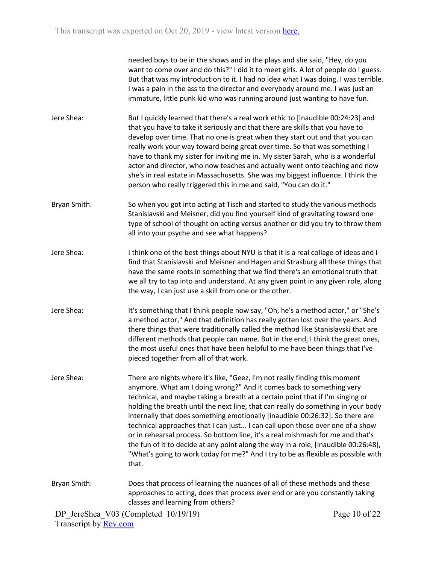needed boys to be in the shows and in the plays and she said, "Hey, do you want to come over and do this?" I did it to meet girls. A lot of people do I guess. But that was my introduction to it. I had no idea what I was doing. I was terrible. I was a pain in the ass to the director and everybody around me. I was just an immature, little punk kid who was running around just wanting to have fun.

- Jere Shea: But I quickly learned that there's a real work ethic to [inaudible 00:24:23] and that you have to take it seriously and that there are skills that you have to develop over time. That no one is great when they start out and that you can really work your way toward being great over time. So that was something I have to thank my sister for inviting me in. My sister Sarah, who is a wonderful actor and director, who now teaches and actually went onto teaching and now she's in real estate in Massachusetts. She was my biggest influence. I think the person who really triggered this in me and said, "You can do it."
- Bryan Smith: So when you got into acting at Tisch and started to study the various methods Stanislavski and Meisner, did you find yourself kind of gravitating toward one type of school of thought on acting versus another or did you try to throw them all into your psyche and see what happens?
- Jere Shea: I think one of the best things about NYU is that it is a real collage of ideas and I find that Stanislavski and Meisner and Hagen and Strasburg all these things that have the same roots in something that we find there's an emotional truth that we all try to tap into and understand. At any given point in any given role, along the way, I can just use a skill from one or the other.
- Jere Shea: It's something that I think people now say, "Oh, he's a method actor," or "She's a method actor," And that definition has really gotten lost over the years. And there things that were traditionally called the method like Stanislavski that are different methods that people can name. But in the end, I think the great ones, the most useful ones that have been helpful to me have been things that I've pieced together from all of that work.
- Jere Shea: There are nights where it's like, "Geez, I'm not really finding this moment anymore. What am I doing wrong?" And it comes back to something very technical, and maybe taking a breath at a certain point that if I'm singing or holding the breath until the next line, that can really do something in your body internally that does something emotionally [inaudible 00:26:32]. So there are technical approaches that I can just... I can call upon those over one of a show or in rehearsal process. So bottom line, it's a real mishmash for me and that's the fun of it to decide at any point along the way in a role, [inaudible 00:26:48], "What's going to work today for me?" And I try to be as flexible as possible with that.
- Bryan Smith: Does that process of learning the nuances of all of these methods and these approaches to acting, does that process ever end or are you constantly taking classes and learning from others?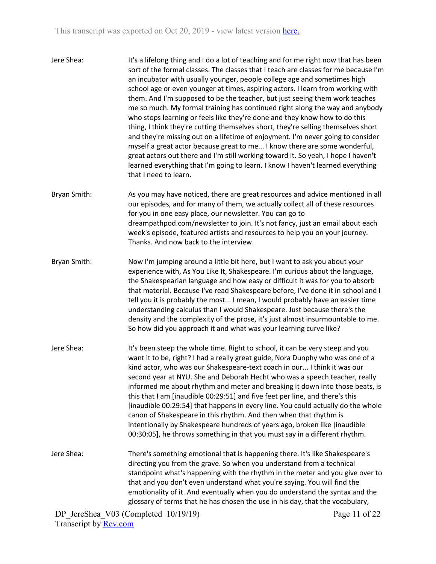| Jere Shea: | It's a lifelong thing and I do a lot of teaching and for me right now that has been<br>sort of the formal classes. The classes that I teach are classes for me because I'm<br>an incubator with usually younger, people college age and sometimes high<br>school age or even younger at times, aspiring actors. I learn from working with<br>them. And I'm supposed to be the teacher, but just seeing them work teaches<br>me so much. My formal training has continued right along the way and anybody<br>who stops learning or feels like they're done and they know how to do this<br>thing, I think they're cutting themselves short, they're selling themselves short<br>and they're missing out on a lifetime of enjoyment. I'm never going to consider<br>myself a great actor because great to me I know there are some wonderful,<br>great actors out there and I'm still working toward it. So yeah, I hope I haven't<br>learned everything that I'm going to learn. I know I haven't learned everything |
|------------|---------------------------------------------------------------------------------------------------------------------------------------------------------------------------------------------------------------------------------------------------------------------------------------------------------------------------------------------------------------------------------------------------------------------------------------------------------------------------------------------------------------------------------------------------------------------------------------------------------------------------------------------------------------------------------------------------------------------------------------------------------------------------------------------------------------------------------------------------------------------------------------------------------------------------------------------------------------------------------------------------------------------|
|            | that I need to learn.                                                                                                                                                                                                                                                                                                                                                                                                                                                                                                                                                                                                                                                                                                                                                                                                                                                                                                                                                                                               |

Bryan Smith: As you may have noticed, there are great resources and advice mentioned in all our episodes, and for many of them, we actually collect all of these resources for you in one easy place, our newsletter. You can go to dreampathpod.com/newsletter to join. It's not fancy, just an email about each week's episode, featured artists and resources to help you on your journey. Thanks. And now back to the interview.

Bryan Smith: Now I'm jumping around a little bit here, but I want to ask you about your experience with, As You Like It, Shakespeare. I'm curious about the language, the Shakespearian language and how easy or difficult it was for you to absorb that material. Because I've read Shakespeare before, I've done it in school and I tell you it is probably the most... I mean, I would probably have an easier time understanding calculus than I would Shakespeare. Just because there's the density and the complexity of the prose, it's just almost insurmountable to me. So how did you approach it and what was your learning curve like?

- Jere Shea: It's been steep the whole time. Right to school, it can be very steep and you want it to be, right? I had a really great guide, Nora Dunphy who was one of a kind actor, who was our Shakespeare-text coach in our... I think it was our second year at NYU. She and Deborah Hecht who was a speech teacher, really informed me about rhythm and meter and breaking it down into those beats, is this that I am [inaudible 00:29:51] and five feet per line, and there's this [inaudible 00:29:54] that happens in every line. You could actually do the whole canon of Shakespeare in this rhythm. And then when that rhythm is intentionally by Shakespeare hundreds of years ago, broken like [inaudible 00:30:05], he throws something in that you must say in a different rhythm.
- Jere Shea: There's something emotional that is happening there. It's like Shakespeare's directing you from the grave. So when you understand from a technical standpoint what's happening with the rhythm in the meter and you give over to that and you don't even understand what you're saying. You will find the emotionality of it. And eventually when you do understand the syntax and the glossary of terms that he has chosen the use in his day, that the vocabulary,

DP JereShea V03 (Completed 10/19/19) Transcript by Rev.com

Page 11 of 22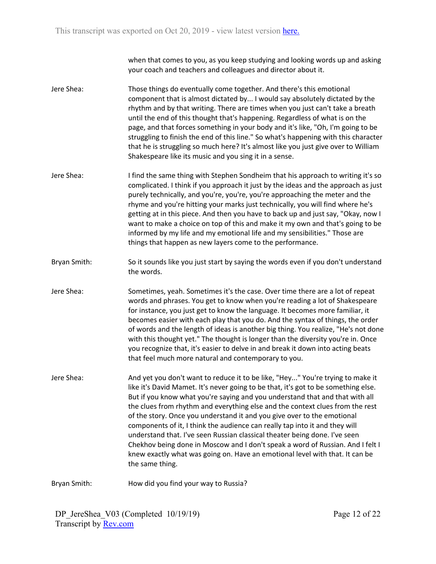when that comes to you, as you keep studying and looking words up and asking your coach and teachers and colleagues and director about it.

- Jere Shea: Those things do eventually come together. And there's this emotional component that is almost dictated by... I would say absolutely dictated by the rhythm and by that writing. There are times when you just can't take a breath until the end of this thought that's happening. Regardless of what is on the page, and that forces something in your body and it's like, "Oh, I'm going to be struggling to finish the end of this line." So what's happening with this character that he is struggling so much here? It's almost like you just give over to William Shakespeare like its music and you sing it in a sense.
- Jere Shea: I find the same thing with Stephen Sondheim that his approach to writing it's so complicated. I think if you approach it just by the ideas and the approach as just purely technically, and you're, you're, you're approaching the meter and the rhyme and you're hitting your marks just technically, you will find where he's getting at in this piece. And then you have to back up and just say, "Okay, now I want to make a choice on top of this and make it my own and that's going to be informed by my life and my emotional life and my sensibilities." Those are things that happen as new layers come to the performance.
- Bryan Smith: So it sounds like you just start by saying the words even if you don't understand the words.
- Jere Shea: Sometimes, yeah. Sometimes it's the case. Over time there are a lot of repeat words and phrases. You get to know when you're reading a lot of Shakespeare for instance, you just get to know the language. It becomes more familiar, it becomes easier with each play that you do. And the syntax of things, the order of words and the length of ideas is another big thing. You realize, "He's not done with this thought yet." The thought is longer than the diversity you're in. Once you recognize that, it's easier to delve in and break it down into acting beats that feel much more natural and contemporary to you.
- Jere Shea: And yet you don't want to reduce it to be like, "Hey..." You're trying to make it like it's David Mamet. It's never going to be that, it's got to be something else. But if you know what you're saying and you understand that and that with all the clues from rhythm and everything else and the context clues from the rest of the story. Once you understand it and you give over to the emotional components of it, I think the audience can really tap into it and they will understand that. I've seen Russian classical theater being done. I've seen Chekhov being done in Moscow and I don't speak a word of Russian. And I felt I knew exactly what was going on. Have an emotional level with that. It can be the same thing.

Bryan Smith: How did you find your way to Russia?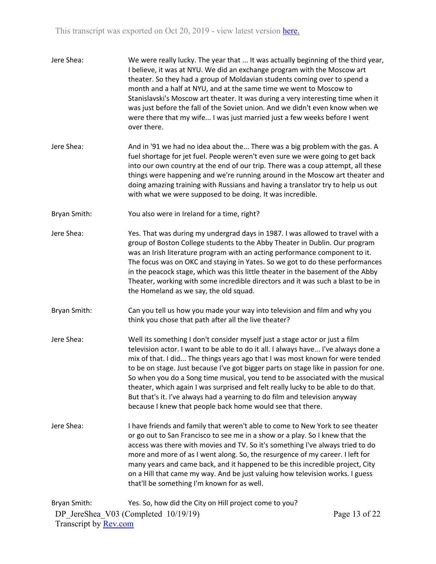| Jere Shea:   | We were really lucky. The year that  It was actually beginning of the third year,<br>I believe, it was at NYU. We did an exchange program with the Moscow art<br>theater. So they had a group of Moldavian students coming over to spend a<br>month and a half at NYU, and at the same time we went to Moscow to<br>Stanislavski's Moscow art theater. It was during a very interesting time when it<br>was just before the fall of the Soviet union. And we didn't even know when we<br>were there that my wife I was just married just a few weeks before I went<br>over there.                                                                              |               |
|--------------|----------------------------------------------------------------------------------------------------------------------------------------------------------------------------------------------------------------------------------------------------------------------------------------------------------------------------------------------------------------------------------------------------------------------------------------------------------------------------------------------------------------------------------------------------------------------------------------------------------------------------------------------------------------|---------------|
| Jere Shea:   | And in '91 we had no idea about the There was a big problem with the gas. A<br>fuel shortage for jet fuel. People weren't even sure we were going to get back<br>into our own country at the end of our trip. There was a coup attempt, all these<br>things were happening and we're running around in the Moscow art theater and<br>doing amazing training with Russians and having a translator try to help us out<br>with what we were supposed to be doing. It was incredible.                                                                                                                                                                             |               |
| Bryan Smith: | You also were in Ireland for a time, right?                                                                                                                                                                                                                                                                                                                                                                                                                                                                                                                                                                                                                    |               |
| Jere Shea:   | Yes. That was during my undergrad days in 1987. I was allowed to travel with a<br>group of Boston College students to the Abby Theater in Dublin. Our program<br>was an Irish literature program with an acting performance component to it.<br>The focus was on OKC and staying in Yates. So we got to do these performances<br>in the peacock stage, which was this little theater in the basement of the Abby<br>Theater, working with some incredible directors and it was such a blast to be in<br>the Homeland as we say, the old squad.                                                                                                                 |               |
| Bryan Smith: | Can you tell us how you made your way into television and film and why you<br>think you chose that path after all the live theater?                                                                                                                                                                                                                                                                                                                                                                                                                                                                                                                            |               |
| Jere Shea:   | Well its something I don't consider myself just a stage actor or just a film<br>television actor. I want to be able to do it all. I always have I've always done a<br>mix of that. I did The things years ago that I was most known for were tended<br>to be on stage. Just because I've got bigger parts on stage like in passion for one.<br>So when you do a Song time musical, you tend to be associated with the musical<br>theater, which again I was surprised and felt really lucky to be able to do that.<br>But that's it. I've always had a yearning to do film and television anyway<br>because I knew that people back home would see that there. |               |
| Jere Shea:   | I have friends and family that weren't able to come to New York to see theater<br>or go out to San Francisco to see me in a show or a play. So I knew that the<br>access was there with movies and TV. So it's something I've always tried to do<br>more and more of as I went along. So, the resurgence of my career. I left for<br>many years and came back, and it happened to be this incredible project, City<br>on a Hill that came my way. And be just valuing how television works. I guess<br>that'll be something I'm known for as well.                                                                                                             |               |
| Bryan Smith: | Yes. So, how did the City on Hill project come to you?                                                                                                                                                                                                                                                                                                                                                                                                                                                                                                                                                                                                         |               |
|              | DP JereShea V03 (Completed 10/19/19)                                                                                                                                                                                                                                                                                                                                                                                                                                                                                                                                                                                                                           | Page 13 of 22 |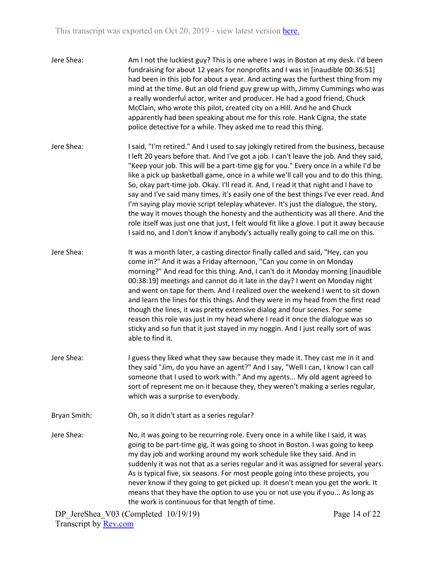| Jere Shea:   | Am I not the luckiest guy? This is one where I was in Boston at my desk. I'd been<br>fundraising for about 12 years for nonprofits and I was in [inaudible 00:36:51]<br>had been in this job for about a year. And acting was the furthest thing from my<br>mind at the time. But an old friend guy grew up with, Jimmy Cummings who was<br>a really wonderful actor, writer and producer. He had a good friend, Chuck<br>McClain, who wrote this pilot, created city on a Hill. And he and Chuck<br>apparently had been speaking about me for this role. Hank Cigna, the state<br>police detective for a while. They asked me to read this thing.                                                                                                                                                                                                                                                      |
|--------------|---------------------------------------------------------------------------------------------------------------------------------------------------------------------------------------------------------------------------------------------------------------------------------------------------------------------------------------------------------------------------------------------------------------------------------------------------------------------------------------------------------------------------------------------------------------------------------------------------------------------------------------------------------------------------------------------------------------------------------------------------------------------------------------------------------------------------------------------------------------------------------------------------------|
| Jere Shea:   | I said, "I'm retired." And I used to say jokingly retired from the business, because<br>I left 20 years before that. And I've got a job. I can't leave the job. And they said,<br>"Keep your job. This will be a part-time gig for you." Every once in a while I'd be<br>like a pick up basketball game, once in a while we'll call you and to do this thing.<br>So, okay part-time job. Okay. I'll read it. And, I read it that night and I have to<br>say and I've said many times, it's easily one of the best things I've ever read. And<br>I'm saying play movie script teleplay whatever. It's just the dialogue, the story,<br>the way it moves though the honesty and the authenticity was all there. And the<br>role itself was just one that just, I felt would fit like a glove. I put it away because<br>I said no, and I don't know if anybody's actually really going to call me on this. |
| Jere Shea:   | It was a month later, a casting director finally called and said, "Hey, can you<br>come in?" And it was a Friday afternoon, "Can you come in on Monday<br>morning?" And read for this thing. And, I can't do it Monday morning [inaudible<br>00:38:19] meetings and cannot do it late in the day? I went on Monday night<br>and went on tape for them. And I realized over the weekend I went to sit down<br>and learn the lines for this things. And they were in my head from the first read<br>though the lines, it was pretty extensive dialog and four scenes. For some<br>reason this role was just in my head where I read it once the dialogue was so<br>sticky and so fun that it just stayed in my noggin. And I just really sort of was<br>able to find it.                                                                                                                                  |
| Jere Shea:   | I guess they liked what they saw because they made it. They cast me in it and<br>they said "Jim, do you have an agent?" And I say, "Well I can, I know I can call<br>someone that I used to work with." And my agents My old agent agreed to<br>sort of represent me on it because they, they weren't making a series regular,<br>which was a surprise to everybody.                                                                                                                                                                                                                                                                                                                                                                                                                                                                                                                                    |
| Bryan Smith: | Oh, so it didn't start as a series regular?                                                                                                                                                                                                                                                                                                                                                                                                                                                                                                                                                                                                                                                                                                                                                                                                                                                             |
| Jere Shea:   | No, it was going to be recurring role. Every once in a while like I said, it was<br>going to be part-time gig, it was going to shoot in Boston. I was going to keep<br>my day job and working around my work schedule like they said. And in<br>suddenly it was not that as a series regular and it was assigned for several years.<br>As is typical five, six seasons. For most people going into these projects, you<br>never know if they going to get picked up. It doesn't mean you get the work. It<br>means that they have the option to use you or not use you if you As long as<br>the work is continuous for that length of time.                                                                                                                                                                                                                                                             |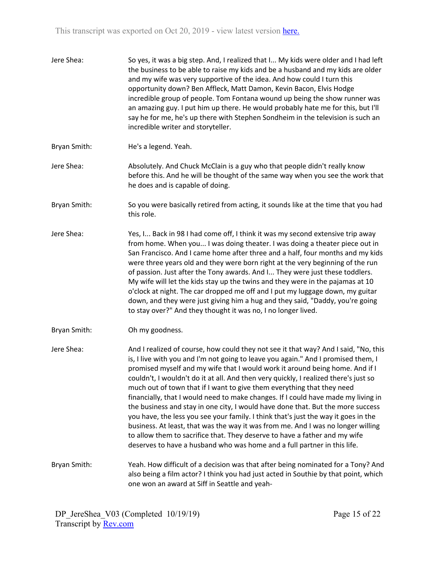| Jere Shea:   | So yes, it was a big step. And, I realized that I My kids were older and I had left<br>the business to be able to raise my kids and be a husband and my kids are older<br>and my wife was very supportive of the idea. And how could I turn this<br>opportunity down? Ben Affleck, Matt Damon, Kevin Bacon, Elvis Hodge<br>incredible group of people. Tom Fontana wound up being the show runner was<br>an amazing guy. I put him up there. He would probably hate me for this, but I'll<br>say he for me, he's up there with Stephen Sondheim in the television is such an<br>incredible writer and storyteller.                                                                                                                                                                                                                                                                                                                     |
|--------------|----------------------------------------------------------------------------------------------------------------------------------------------------------------------------------------------------------------------------------------------------------------------------------------------------------------------------------------------------------------------------------------------------------------------------------------------------------------------------------------------------------------------------------------------------------------------------------------------------------------------------------------------------------------------------------------------------------------------------------------------------------------------------------------------------------------------------------------------------------------------------------------------------------------------------------------|
| Bryan Smith: | He's a legend. Yeah.                                                                                                                                                                                                                                                                                                                                                                                                                                                                                                                                                                                                                                                                                                                                                                                                                                                                                                                   |
| Jere Shea:   | Absolutely. And Chuck McClain is a guy who that people didn't really know<br>before this. And he will be thought of the same way when you see the work that<br>he does and is capable of doing.                                                                                                                                                                                                                                                                                                                                                                                                                                                                                                                                                                                                                                                                                                                                        |
| Bryan Smith: | So you were basically retired from acting, it sounds like at the time that you had<br>this role.                                                                                                                                                                                                                                                                                                                                                                                                                                                                                                                                                                                                                                                                                                                                                                                                                                       |
| Jere Shea:   | Yes, I Back in 98 I had come off, I think it was my second extensive trip away<br>from home. When you I was doing theater. I was doing a theater piece out in<br>San Francisco. And I came home after three and a half, four months and my kids<br>were three years old and they were born right at the very beginning of the run<br>of passion. Just after the Tony awards. And I They were just these toddlers.<br>My wife will let the kids stay up the twins and they were in the pajamas at 10<br>o'clock at night. The car dropped me off and I put my luggage down, my guitar<br>down, and they were just giving him a hug and they said, "Daddy, you're going<br>to stay over?" And they thought it was no, I no longer lived.                                                                                                                                                                                                 |
| Bryan Smith: | Oh my goodness.                                                                                                                                                                                                                                                                                                                                                                                                                                                                                                                                                                                                                                                                                                                                                                                                                                                                                                                        |
| Jere Shea:   | And I realized of course, how could they not see it that way? And I said, "No, this<br>is, I live with you and I'm not going to leave you again." And I promised them, I<br>promised myself and my wife that I would work it around being home. And if I<br>couldn't, I wouldn't do it at all. And then very quickly, I realized there's just so<br>much out of town that if I want to give them everything that they need<br>financially, that I would need to make changes. If I could have made my living in<br>the business and stay in one city, I would have done that. But the more success<br>you have, the less you see your family. I think that's just the way it goes in the<br>business. At least, that was the way it was from me. And I was no longer willing<br>to allow them to sacrifice that. They deserve to have a father and my wife<br>deserves to have a husband who was home and a full partner in this life. |
| Bryan Smith: | Yeah. How difficult of a decision was that after being nominated for a Tony? And<br>also being a film actor? I think you had just acted in Southie by that point, which<br>one won an award at Siff in Seattle and yeah-                                                                                                                                                                                                                                                                                                                                                                                                                                                                                                                                                                                                                                                                                                               |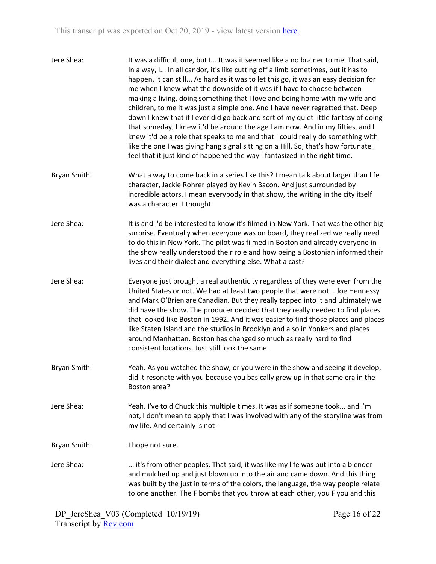| Jere Shea:   | It was a difficult one, but I It was it seemed like a no brainer to me. That said,<br>In a way, I In all candor, it's like cutting off a limb sometimes, but it has to<br>happen. It can still As hard as it was to let this go, it was an easy decision for<br>me when I knew what the downside of it was if I have to choose between<br>making a living, doing something that I love and being home with my wife and<br>children, to me it was just a simple one. And I have never regretted that. Deep<br>down I knew that if I ever did go back and sort of my quiet little fantasy of doing<br>that someday, I knew it'd be around the age I am now. And in my fifties, and I<br>knew it'd be a role that speaks to me and that I could really do something with<br>like the one I was giving hang signal sitting on a Hill. So, that's how fortunate I<br>feel that it just kind of happened the way I fantasized in the right time. |
|--------------|--------------------------------------------------------------------------------------------------------------------------------------------------------------------------------------------------------------------------------------------------------------------------------------------------------------------------------------------------------------------------------------------------------------------------------------------------------------------------------------------------------------------------------------------------------------------------------------------------------------------------------------------------------------------------------------------------------------------------------------------------------------------------------------------------------------------------------------------------------------------------------------------------------------------------------------------|
| Bryan Smith: | What a way to come back in a series like this? I mean talk about larger than life<br>character, Jackie Rohrer played by Kevin Bacon. And just surrounded by<br>incredible actors. I mean everybody in that show, the writing in the city itself<br>was a character. I thought.                                                                                                                                                                                                                                                                                                                                                                                                                                                                                                                                                                                                                                                             |
| Jere Shea:   | It is and I'd be interested to know it's filmed in New York. That was the other big<br>surprise. Eventually when everyone was on board, they realized we really need<br>to do this in New York. The pilot was filmed in Boston and already everyone in<br>the show really understood their role and how being a Bostonian informed their<br>lives and their dialect and everything else. What a cast?                                                                                                                                                                                                                                                                                                                                                                                                                                                                                                                                      |
| Jere Shea:   | Everyone just brought a real authenticity regardless of they were even from the<br>United States or not. We had at least two people that were not Joe Hennessy<br>and Mark O'Brien are Canadian. But they really tapped into it and ultimately we<br>did have the show. The producer decided that they really needed to find places<br>that looked like Boston in 1992. And it was easier to find those places and places<br>like Staten Island and the studios in Brooklyn and also in Yonkers and places<br>around Manhattan. Boston has changed so much as really hard to find<br>consistent locations. Just still look the same.                                                                                                                                                                                                                                                                                                       |
| Bryan Smith: | Yeah. As you watched the show, or you were in the show and seeing it develop,<br>did it resonate with you because you basically grew up in that same era in the<br>Boston area?                                                                                                                                                                                                                                                                                                                                                                                                                                                                                                                                                                                                                                                                                                                                                            |
| Jere Shea:   | Yeah. I've told Chuck this multiple times. It was as if someone took and I'm<br>not, I don't mean to apply that I was involved with any of the storyline was from<br>my life. And certainly is not-                                                                                                                                                                                                                                                                                                                                                                                                                                                                                                                                                                                                                                                                                                                                        |
| Bryan Smith: | I hope not sure.                                                                                                                                                                                                                                                                                                                                                                                                                                                                                                                                                                                                                                                                                                                                                                                                                                                                                                                           |
| Jere Shea:   | it's from other peoples. That said, it was like my life was put into a blender<br>and mulched up and just blown up into the air and came down. And this thing<br>was built by the just in terms of the colors, the language, the way people relate<br>to one another. The F bombs that you throw at each other, you F you and this                                                                                                                                                                                                                                                                                                                                                                                                                                                                                                                                                                                                         |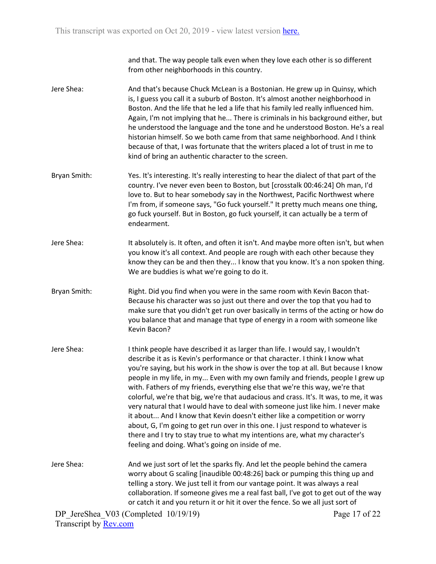and that. The way people talk even when they love each other is so different from other neighborhoods in this country.

- Jere Shea: And that's because Chuck McLean is a Bostonian. He grew up in Quinsy, which is, I guess you call it a suburb of Boston. It's almost another neighborhood in Boston. And the life that he led a life that his family led really influenced him. Again, I'm not implying that he... There is criminals in his background either, but he understood the language and the tone and he understood Boston. He's a real historian himself. So we both came from that same neighborhood. And I think because of that, I was fortunate that the writers placed a lot of trust in me to kind of bring an authentic character to the screen.
- Bryan Smith: Yes. It's interesting. It's really interesting to hear the dialect of that part of the country. I've never even been to Boston, but [crosstalk 00:46:24] Oh man, I'd love to. But to hear somebody say in the Northwest, Pacific Northwest where I'm from, if someone says, "Go fuck yourself." It pretty much means one thing, go fuck yourself. But in Boston, go fuck yourself, it can actually be a term of endearment.
- Jere Shea: It absolutely is. It often, and often it isn't. And maybe more often isn't, but when you know it's all context. And people are rough with each other because they know they can be and then they... I know that you know. It's a non spoken thing. We are buddies is what we're going to do it.
- Bryan Smith: Right. Did you find when you were in the same room with Kevin Bacon that-Because his character was so just out there and over the top that you had to make sure that you didn't get run over basically in terms of the acting or how do you balance that and manage that type of energy in a room with someone like Kevin Bacon?
- Jere Shea: I think people have described it as larger than life. I would say, I wouldn't describe it as is Kevin's performance or that character. I think I know what you're saying, but his work in the show is over the top at all. But because I know people in my life, in my... Even with my own family and friends, people I grew up with. Fathers of my friends, everything else that we're this way, we're that colorful, we're that big, we're that audacious and crass. It's. It was, to me, it was very natural that I would have to deal with someone just like him. I never make it about... And I know that Kevin doesn't either like a competition or worry about, G, I'm going to get run over in this one. I just respond to whatever is there and I try to stay true to what my intentions are, what my character's feeling and doing. What's going on inside of me.
- Jere Shea: And we just sort of let the sparks fly. And let the people behind the camera worry about G scaling [inaudible 00:48:26] back or pumping this thing up and telling a story. We just tell it from our vantage point. It was always a real collaboration. If someone gives me a real fast ball, I've got to get out of the way or catch it and you return it or hit it over the fence. So we all just sort of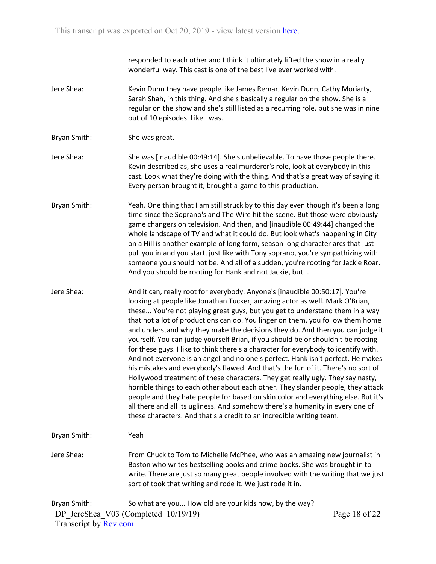responded to each other and I think it ultimately lifted the show in a really wonderful way. This cast is one of the best I've ever worked with.

- Jere Shea: Kevin Dunn they have people like James Remar, Kevin Dunn, Cathy Moriarty, Sarah Shah, in this thing. And she's basically a regular on the show. She is a regular on the show and she's still listed as a recurring role, but she was in nine out of 10 episodes. Like I was.
- Bryan Smith: She was great.
- Jere Shea: She was [inaudible 00:49:14]. She's unbelievable. To have those people there. Kevin described as, she uses a real murderer's role, look at everybody in this cast. Look what they're doing with the thing. And that's a great way of saying it. Every person brought it, brought a-game to this production.
- Bryan Smith: Yeah. One thing that I am still struck by to this day even though it's been a long time since the Soprano's and The Wire hit the scene. But those were obviously game changers on television. And then, and [inaudible 00:49:44] changed the whole landscape of TV and what it could do. But look what's happening in City on a Hill is another example of long form, season long character arcs that just pull you in and you start, just like with Tony soprano, you're sympathizing with someone you should not be. And all of a sudden, you're rooting for Jackie Roar. And you should be rooting for Hank and not Jackie, but...
- Jere Shea: And it can, really root for everybody. Anyone's [inaudible 00:50:17]. You're looking at people like Jonathan Tucker, amazing actor as well. Mark O'Brian, these... You're not playing great guys, but you get to understand them in a way that not a lot of productions can do. You linger on them, you follow them home and understand why they make the decisions they do. And then you can judge it yourself. You can judge yourself Brian, if you should be or shouldn't be rooting for these guys. I like to think there's a character for everybody to identify with. And not everyone is an angel and no one's perfect. Hank isn't perfect. He makes his mistakes and everybody's flawed. And that's the fun of it. There's no sort of Hollywood treatment of these characters. They get really ugly. They say nasty, horrible things to each other about each other. They slander people, they attack people and they hate people for based on skin color and everything else. But it's all there and all its ugliness. And somehow there's a humanity in every one of these characters. And that's a credit to an incredible writing team.

Bryan Smith: Yeah

Jere Shea: From Chuck to Tom to Michelle McPhee, who was an amazing new journalist in Boston who writes bestselling books and crime books. She was brought in to write. There are just so many great people involved with the writing that we just sort of took that writing and rode it. We just rode it in.

DP JereShea V03 (Completed 10/19/19) Transcript by Rev.com Bryan Smith: So what are you... How old are your kids now, by the way?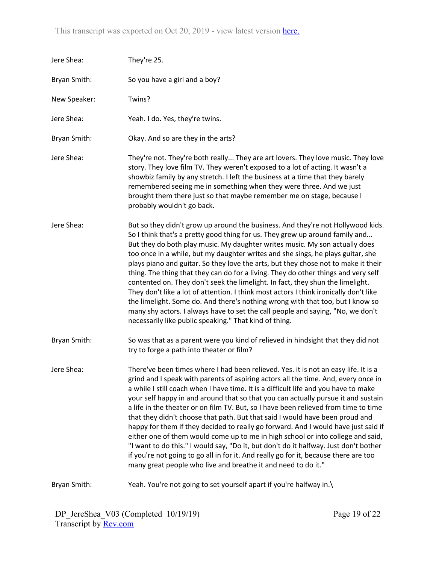| Jere Shea:   | They're 25.                                                                                                                                                                                                                                                                                                                                                                                                                                                                                                                                                                                                                                                                                                                                                                                                                                                                                                                                            |
|--------------|--------------------------------------------------------------------------------------------------------------------------------------------------------------------------------------------------------------------------------------------------------------------------------------------------------------------------------------------------------------------------------------------------------------------------------------------------------------------------------------------------------------------------------------------------------------------------------------------------------------------------------------------------------------------------------------------------------------------------------------------------------------------------------------------------------------------------------------------------------------------------------------------------------------------------------------------------------|
| Bryan Smith: | So you have a girl and a boy?                                                                                                                                                                                                                                                                                                                                                                                                                                                                                                                                                                                                                                                                                                                                                                                                                                                                                                                          |
| New Speaker: | Twins?                                                                                                                                                                                                                                                                                                                                                                                                                                                                                                                                                                                                                                                                                                                                                                                                                                                                                                                                                 |
| Jere Shea:   | Yeah. I do. Yes, they're twins.                                                                                                                                                                                                                                                                                                                                                                                                                                                                                                                                                                                                                                                                                                                                                                                                                                                                                                                        |
| Bryan Smith: | Okay. And so are they in the arts?                                                                                                                                                                                                                                                                                                                                                                                                                                                                                                                                                                                                                                                                                                                                                                                                                                                                                                                     |
| Jere Shea:   | They're not. They're both really They are art lovers. They love music. They love<br>story. They love film TV. They weren't exposed to a lot of acting. It wasn't a<br>showbiz family by any stretch. I left the business at a time that they barely<br>remembered seeing me in something when they were three. And we just<br>brought them there just so that maybe remember me on stage, because I<br>probably wouldn't go back.                                                                                                                                                                                                                                                                                                                                                                                                                                                                                                                      |
| Jere Shea:   | But so they didn't grow up around the business. And they're not Hollywood kids.<br>So I think that's a pretty good thing for us. They grew up around family and<br>But they do both play music. My daughter writes music. My son actually does<br>too once in a while, but my daughter writes and she sings, he plays guitar, she<br>plays piano and guitar. So they love the arts, but they chose not to make it their<br>thing. The thing that they can do for a living. They do other things and very self<br>contented on. They don't seek the limelight. In fact, they shun the limelight.<br>They don't like a lot of attention. I think most actors I think ironically don't like<br>the limelight. Some do. And there's nothing wrong with that too, but I know so<br>many shy actors. I always have to set the call people and saying, "No, we don't<br>necessarily like public speaking." That kind of thing.                                |
| Bryan Smith: | So was that as a parent were you kind of relieved in hindsight that they did not<br>try to forge a path into theater or film?                                                                                                                                                                                                                                                                                                                                                                                                                                                                                                                                                                                                                                                                                                                                                                                                                          |
| Jere Shea:   | There've been times where I had been relieved. Yes. it is not an easy life. It is a<br>grind and I speak with parents of aspiring actors all the time. And, every once in<br>a while I still coach when I have time. It is a difficult life and you have to make<br>your self happy in and around that so that you can actually pursue it and sustain<br>a life in the theater or on film TV. But, so I have been relieved from time to time<br>that they didn't choose that path. But that said I would have been proud and<br>happy for them if they decided to really go forward. And I would have just said if<br>either one of them would come up to me in high school or into college and said,<br>"I want to do this." I would say, "Do it, but don't do it halfway. Just don't bother<br>if you're not going to go all in for it. And really go for it, because there are too<br>many great people who live and breathe it and need to do it." |
| Bryan Smith: | Yeah. You're not going to set yourself apart if you're halfway in.\                                                                                                                                                                                                                                                                                                                                                                                                                                                                                                                                                                                                                                                                                                                                                                                                                                                                                    |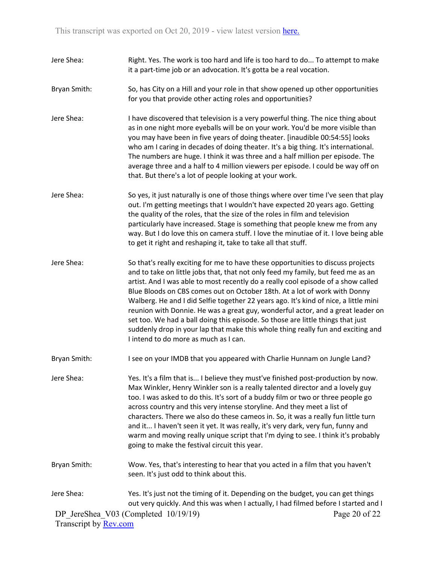- Jere Shea: Right. Yes. The work is too hard and life is too hard to do... To attempt to make it a part-time job or an advocation. It's gotta be a real vocation.
- Bryan Smith: So, has City on a Hill and your role in that show opened up other opportunities for you that provide other acting roles and opportunities?
- Jere Shea: I have discovered that television is a very powerful thing. The nice thing about as in one night more eyeballs will be on your work. You'd be more visible than you may have been in five years of doing theater. [inaudible 00:54:55] looks who am I caring in decades of doing theater. It's a big thing. It's international. The numbers are huge. I think it was three and a half million per episode. The average three and a half to 4 million viewers per episode. I could be way off on that. But there's a lot of people looking at your work.
- Jere Shea: So yes, it just naturally is one of those things where over time I've seen that play out. I'm getting meetings that I wouldn't have expected 20 years ago. Getting the quality of the roles, that the size of the roles in film and television particularly have increased. Stage is something that people knew me from any way. But I do love this on camera stuff. I love the minutiae of it. I love being able to get it right and reshaping it, take to take all that stuff.
- Jere Shea: So that's really exciting for me to have these opportunities to discuss projects and to take on little jobs that, that not only feed my family, but feed me as an artist. And I was able to most recently do a really cool episode of a show called Blue Bloods on CBS comes out on October 18th. At a lot of work with Donny Walberg. He and I did Selfie together 22 years ago. It's kind of nice, a little mini reunion with Donnie. He was a great guy, wonderful actor, and a great leader on set too. We had a ball doing this episode. So those are little things that just suddenly drop in your lap that make this whole thing really fun and exciting and I intend to do more as much as I can.
- Bryan Smith: I see on your IMDB that you appeared with Charlie Hunnam on Jungle Land?
- Jere Shea: Yes. It's a film that is... I believe they must've finished post-production by now. Max Winkler, Henry Winkler son is a really talented director and a lovely guy too. I was asked to do this. It's sort of a buddy film or two or three people go across country and this very intense storyline. And they meet a list of characters. There we also do these cameos in. So, it was a really fun little turn and it... I haven't seen it yet. It was really, it's very dark, very fun, funny and warm and moving really unique script that I'm dying to see. I think it's probably going to make the festival circuit this year.
- Bryan Smith: Wow. Yes, that's interesting to hear that you acted in a film that you haven't seen. It's just odd to think about this.
- DP JereShea V03 (Completed 10/19/19) Transcript by Rev.com Page 20 of 22 Jere Shea: Yes. It's just not the timing of it. Depending on the budget, you can get things out very quickly. And this was when I actually, I had filmed before I started and I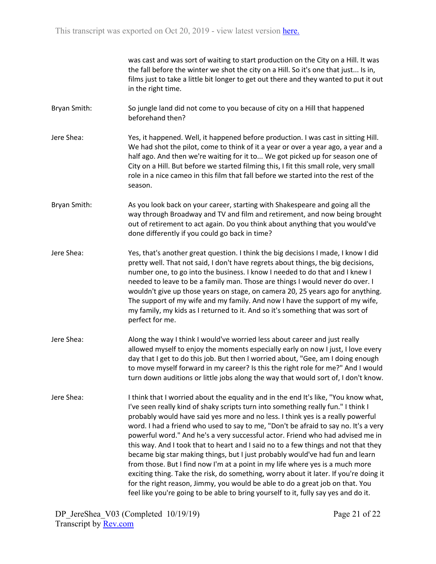was cast and was sort of waiting to start production on the City on a Hill. It was the fall before the winter we shot the city on a Hill. So it's one that just... Is in, films just to take a little bit longer to get out there and they wanted to put it out in the right time.

Bryan Smith: So jungle land did not come to you because of city on a Hill that happened beforehand then?

- Jere Shea: Yes, it happened. Well, it happened before production. I was cast in sitting Hill. We had shot the pilot, come to think of it a year or over a year ago, a year and a half ago. And then we're waiting for it to... We got picked up for season one of City on a Hill. But before we started filming this, I fit this small role, very small role in a nice cameo in this film that fall before we started into the rest of the season.
- Bryan Smith: As you look back on your career, starting with Shakespeare and going all the way through Broadway and TV and film and retirement, and now being brought out of retirement to act again. Do you think about anything that you would've done differently if you could go back in time?
- Jere Shea: Yes, that's another great question. I think the big decisions I made, I know I did pretty well. That not said, I don't have regrets about things, the big decisions, number one, to go into the business. I know I needed to do that and I knew I needed to leave to be a family man. Those are things I would never do over. I wouldn't give up those years on stage, on camera 20, 25 years ago for anything. The support of my wife and my family. And now I have the support of my wife, my family, my kids as I returned to it. And so it's something that was sort of perfect for me.
- Jere Shea: Along the way I think I would've worried less about career and just really allowed myself to enjoy the moments especially early on now I just, I love every day that I get to do this job. But then I worried about, "Gee, am I doing enough to move myself forward in my career? Is this the right role for me?" And I would turn down auditions or little jobs along the way that would sort of, I don't know.
- Jere Shea: I think that I worried about the equality and in the end It's like, "You know what, I've seen really kind of shaky scripts turn into something really fun." I think I probably would have said yes more and no less. I think yes is a really powerful word. I had a friend who used to say to me, "Don't be afraid to say no. It's a very powerful word." And he's a very successful actor. Friend who had advised me in this way. And I took that to heart and I said no to a few things and not that they became big star making things, but I just probably would've had fun and learn from those. But I find now I'm at a point in my life where yes is a much more exciting thing. Take the risk, do something, worry about it later. If you're doing it for the right reason, Jimmy, you would be able to do a great job on that. You feel like you're going to be able to bring yourself to it, fully say yes and do it.